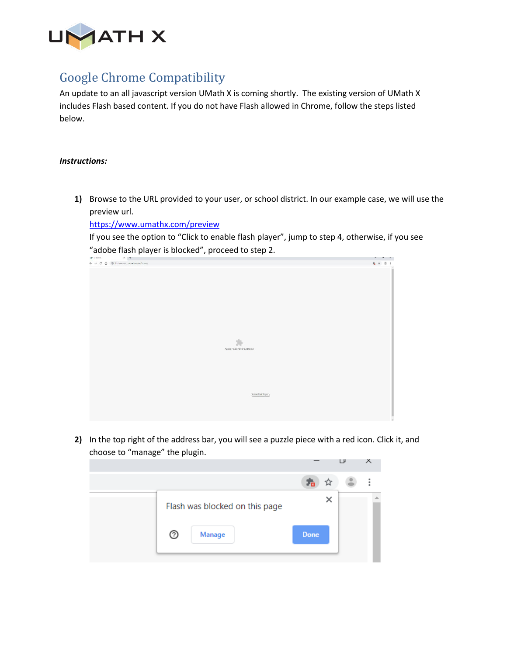

## Google Chrome Compatibility

An update to an all javascript version UMath X is coming shortly. The existing version of UMath X includes Flash based content. If you do not have Flash allowed in Chrome, follow the steps listed below.

## *Instructions:*

**1)** Browse to the URL provided to your user, or school district. In our example case, we will use the preview url.

<https://www.umathx.com/preview>

If you see the option to "Click to enable flash player", jump to step 4, otherwise, if you see "adobe flash player is blocked", proceed to step 2.



**2)** In the top right of the address bar, you will see a puzzle piece with a red icon. Click it, and choose to "manage" the plugin.

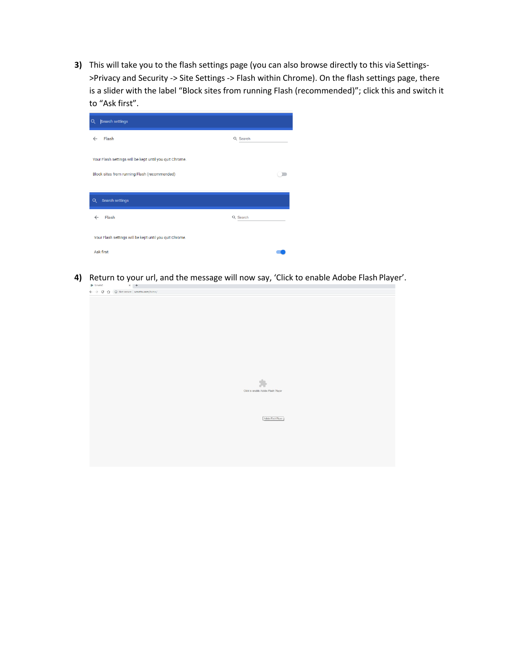**3)** This will take you to the flash settings page (you can also browse directly to this via Settings- >Privacy and Security -> Site Settings -> Flash within Chrome). On the flash settings page, there is a slider with the label "Block sites from running Flash (recommended)"; click this and switch it to "Ask first".

| <b>Search settings</b><br>$\alpha$                      |          |  |  |  |  |  |  |  |  |  |
|---------------------------------------------------------|----------|--|--|--|--|--|--|--|--|--|
| Flash<br>$\leftarrow$                                   | Q Search |  |  |  |  |  |  |  |  |  |
| Your Flash settings will be kept until you quit Chrome. |          |  |  |  |  |  |  |  |  |  |
| Block sites from running Flash (recommended)            |          |  |  |  |  |  |  |  |  |  |
| Search settings<br>Q                                    |          |  |  |  |  |  |  |  |  |  |
| Flash<br>$\leftarrow$                                   | Q Search |  |  |  |  |  |  |  |  |  |
| Your Flash settings will be kept until you quit Chrome. |          |  |  |  |  |  |  |  |  |  |
| <b>Ask first</b>                                        |          |  |  |  |  |  |  |  |  |  |

**4)** Return to your url, and the message will now say, 'Click to enable Adobe Flash Player'.

|  | $\lambda$ $\mathbf{T}$ |                                                                 |  |                                    |                    |  |  |
|--|------------------------|-----------------------------------------------------------------|--|------------------------------------|--------------------|--|--|
|  |                        | $\rightarrow$ C $\hat{\Omega}$ (D Not secure   umathx.com/home/ |  |                                    |                    |  |  |
|  |                        |                                                                 |  |                                    |                    |  |  |
|  |                        |                                                                 |  |                                    |                    |  |  |
|  |                        |                                                                 |  |                                    |                    |  |  |
|  |                        |                                                                 |  |                                    |                    |  |  |
|  |                        |                                                                 |  |                                    |                    |  |  |
|  |                        |                                                                 |  |                                    |                    |  |  |
|  |                        |                                                                 |  |                                    |                    |  |  |
|  |                        |                                                                 |  |                                    |                    |  |  |
|  |                        |                                                                 |  |                                    |                    |  |  |
|  |                        |                                                                 |  |                                    |                    |  |  |
|  |                        |                                                                 |  |                                    |                    |  |  |
|  |                        |                                                                 |  |                                    |                    |  |  |
|  |                        |                                                                 |  |                                    |                    |  |  |
|  |                        |                                                                 |  | 25                                 |                    |  |  |
|  |                        |                                                                 |  | Click to enable Adobe Flash Player |                    |  |  |
|  |                        |                                                                 |  |                                    |                    |  |  |
|  |                        |                                                                 |  |                                    |                    |  |  |
|  |                        |                                                                 |  |                                    |                    |  |  |
|  |                        |                                                                 |  |                                    |                    |  |  |
|  |                        |                                                                 |  |                                    | Adobe Flash Player |  |  |
|  |                        |                                                                 |  |                                    |                    |  |  |
|  |                        |                                                                 |  |                                    |                    |  |  |
|  |                        |                                                                 |  |                                    |                    |  |  |
|  |                        |                                                                 |  |                                    |                    |  |  |
|  |                        |                                                                 |  |                                    |                    |  |  |
|  |                        |                                                                 |  |                                    |                    |  |  |
|  |                        |                                                                 |  |                                    |                    |  |  |